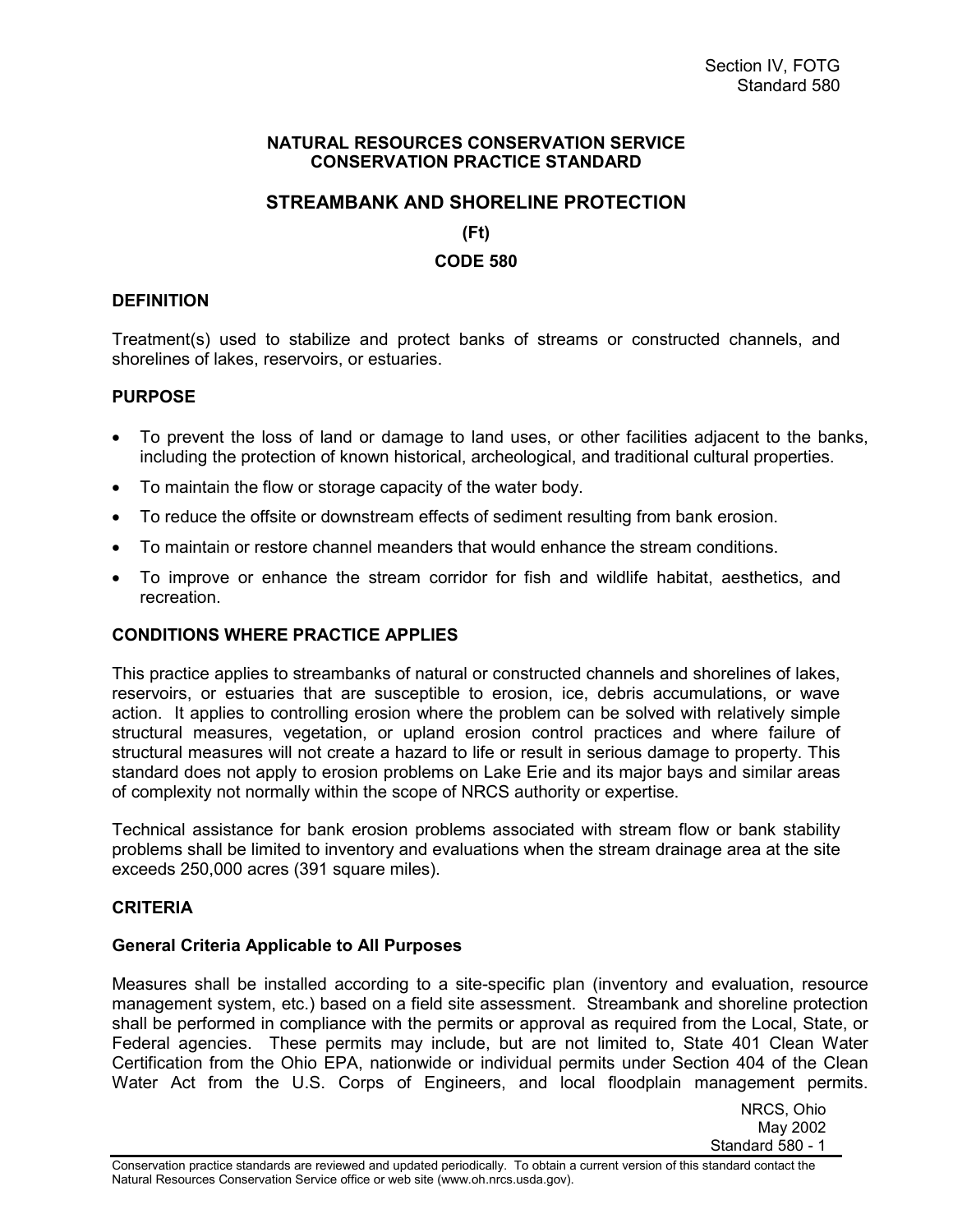### **NATURAL RESOURCES CONSERVATION SERVICE CONSERVATION PRACTICE STANDARD**

# **STREAMBANK AND SHORELINE PROTECTION**

**(Ft)** 

### **CODE 580**

### **DEFINITION**

Treatment(s) used to stabilize and protect banks of streams or constructed channels, and shorelines of lakes, reservoirs, or estuaries.

### **PURPOSE**

- $\bullet$  To prevent the loss of land or damage to land uses, or other facilities adjacent to the banks, including the protection of known historical, archeological, and traditional cultural properties.
- $\bullet$ To maintain the flow or storage capacity of the water body.
- -To reduce the offsite or downstream effects of sediment resulting from bank erosion.
- -To maintain or restore channel meanders that would enhance the stream conditions.
- $\bullet$  To improve or enhance the stream corridor for fish and wildlife habitat, aesthetics, and recreation.

## **CONDITIONS WHERE PRACTICE APPLIES**

This practice applies to streambanks of natural or constructed channels and shorelines of lakes, reservoirs, or estuaries that are susceptible to erosion, ice, debris accumulations, or wave action. It applies to controlling erosion where the problem can be solved with relatively simple structural measures, vegetation, or upland erosion control practices and where failure of structural measures will not create a hazard to life or result in serious damage to property. This standard does not apply to erosion problems on Lake Erie and its major bays and similar areas of complexity not normally within the scope of NRCS authority or expertise.

Technical assistance for bank erosion problems associated with stream flow or bank stability problems shall be limited to inventory and evaluations when the stream drainage area at the site exceeds 250,000 acres (391 square miles).

#### **CRITERIA**

#### **General Criteria Applicable to All Purposes**

Measures shall be installed according to a site-specific plan (inventory and evaluation, resource management system, etc.) based on a field site assessment. Streambank and shoreline protection shall be performed in compliance with the permits or approval as required from the Local, State, or Federal agencies. These permits may include, but are not limited to, State 401 Clean Water Certification from the Ohio EPA, nationwide or individual permits under Section 404 of the Clean Water Act from the U.S. Corps of Engineers, and local floodplain management permits.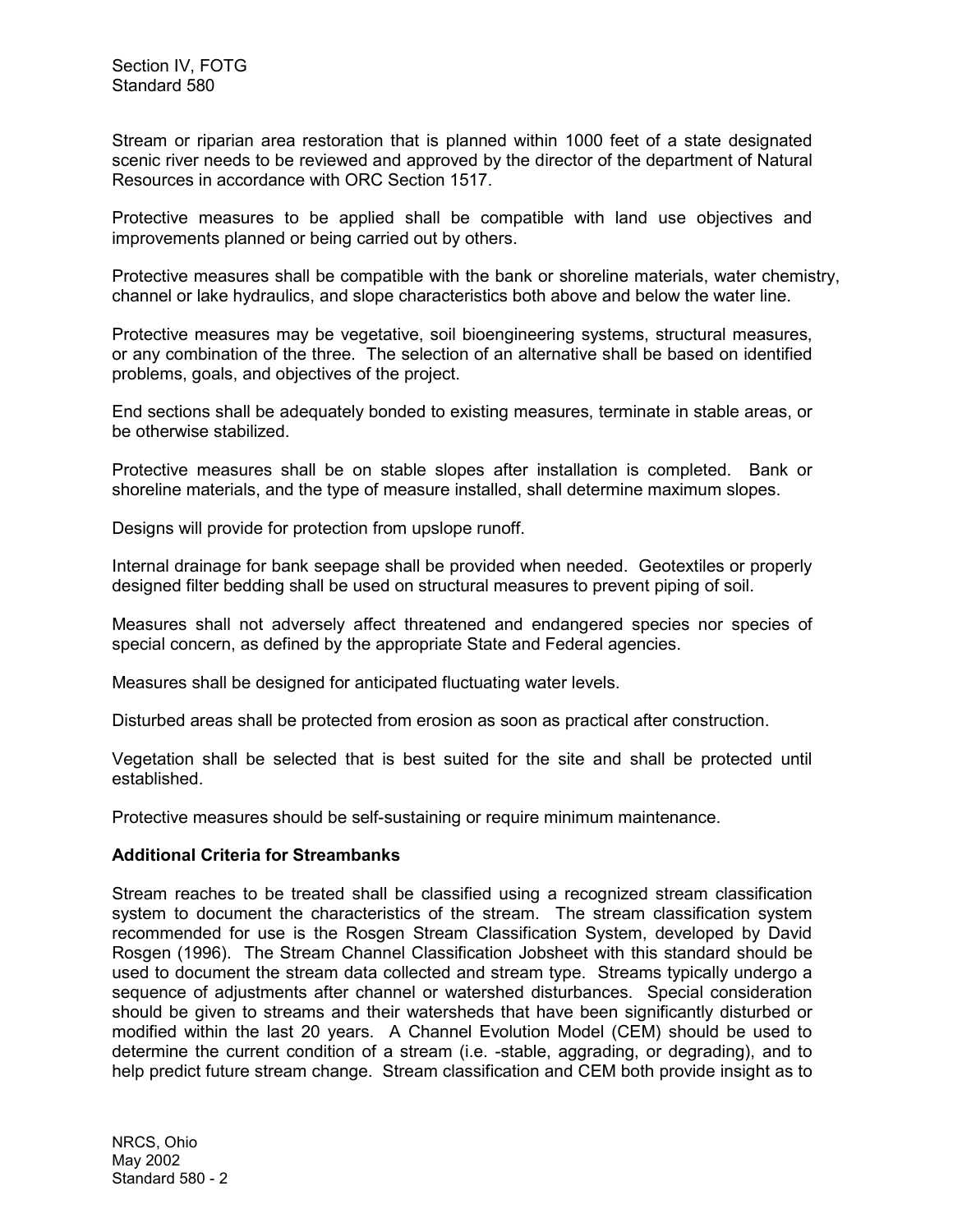Stream or riparian area restoration that is planned within 1000 feet of a state designated scenic river needs to be reviewed and approved by the director of the department of Natural Resources in accordance with ORC Section 1517.

Protective measures to be applied shall be compatible with land use objectives and improvements planned or being carried out by others.

Protective measures shall be compatible with the bank or shoreline materials, water chemistry, channel or lake hydraulics, and slope characteristics both above and below the water line.

Protective measures may be vegetative, soil bioengineering systems, structural measures, or any combination of the three. The selection of an alternative shall be based on identified problems, goals, and objectives of the project.

End sections shall be adequately bonded to existing measures, terminate in stable areas, or be otherwise stabilized.

Protective measures shall be on stable slopes after installation is completed. Bank or shoreline materials, and the type of measure installed, shall determine maximum slopes.

Designs will provide for protection from upslope runoff.

Internal drainage for bank seepage shall be provided when needed. Geotextiles or properly designed filter bedding shall be used on structural measures to prevent piping of soil.

Measures shall not adversely affect threatened and endangered species nor species of special concern, as defined by the appropriate State and Federal agencies.

Measures shall be designed for anticipated fluctuating water levels.

Disturbed areas shall be protected from erosion as soon as practical after construction.

Vegetation shall be selected that is best suited for the site and shall be protected until established.

Protective measures should be self-sustaining or require minimum maintenance.

#### **Additional Criteria for Streambanks**

Stream reaches to be treated shall be classified using a recognized stream classification system to document the characteristics of the stream. The stream classification system recommended for use is the Rosgen Stream Classification System, developed by David Rosgen (1996). The Stream Channel Classification Jobsheet with this standard should be used to document the stream data collected and stream type. Streams typically undergo a sequence of adjustments after channel or watershed disturbances. Special consideration should be given to streams and their watersheds that have been significantly disturbed or modified within the last 20 years. A Channel Evolution Model (CEM) should be used to determine the current condition of a stream (i.e. -stable, aggrading, or degrading), and to help predict future stream change. Stream classification and CEM both provide insight as to

NRCS, Ohio May 2002 Standard 580 - 2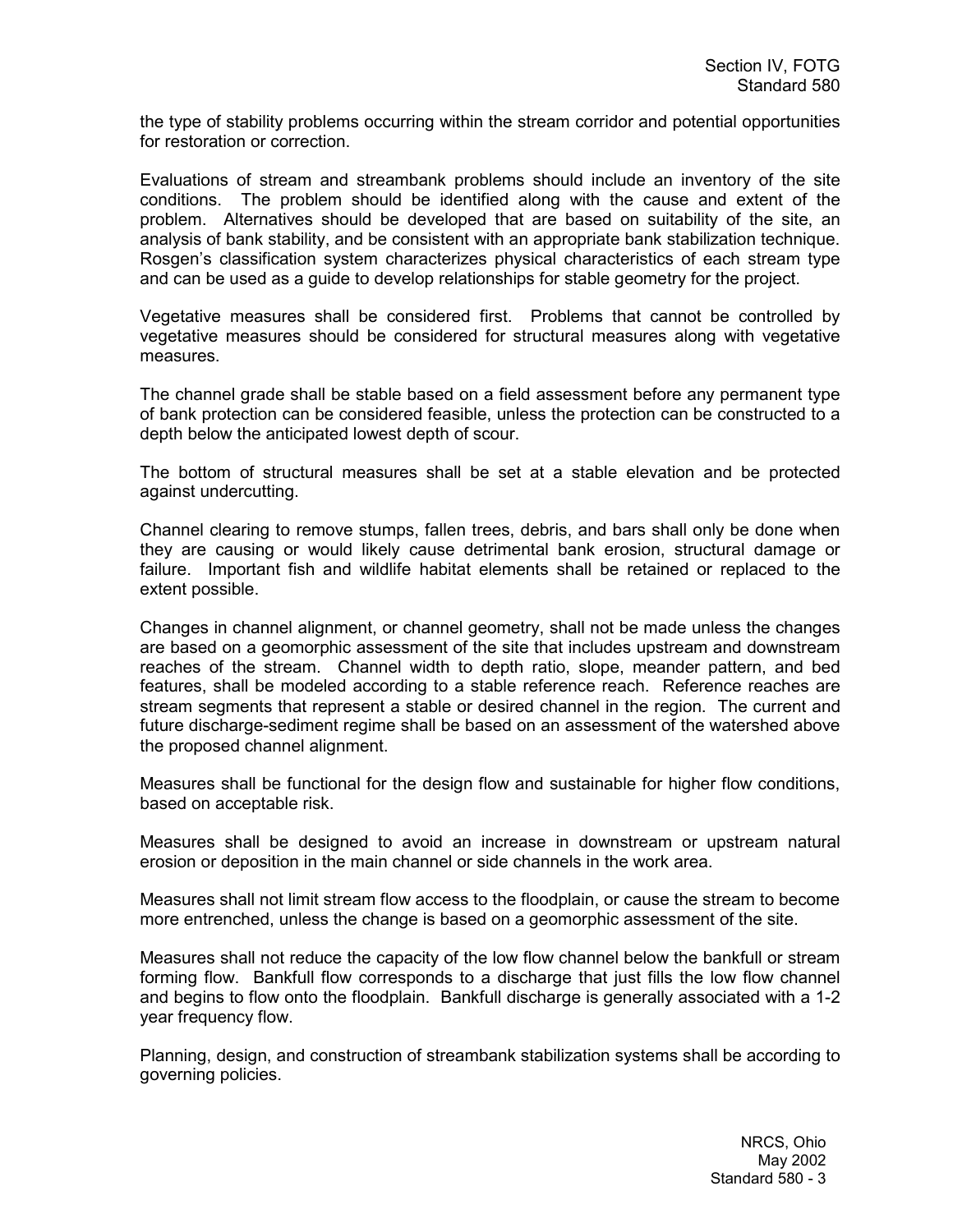the type of stability problems occurring within the stream corridor and potential opportunities for restoration or correction.

Evaluations of stream and streambank problems should include an inventory of the site conditions. The problem should be identified along with the cause and extent of the problem. Alternatives should be developed that are based on suitability of the site, an analysis of bank stability, and be consistent with an appropriate bank stabilization technique. Rosgen's classification system characterizes physical characteristics of each stream type and can be used as a guide to develop relationships for stable geometry for the project.

Vegetative measures shall be considered first. Problems that cannot be controlled by vegetative measures should be considered for structural measures along with vegetative measures.

The channel grade shall be stable based on a field assessment before any permanent type of bank protection can be considered feasible, unless the protection can be constructed to a depth below the anticipated lowest depth of scour.

The bottom of structural measures shall be set at a stable elevation and be protected against undercutting.

Channel clearing to remove stumps, fallen trees, debris, and bars shall only be done when they are causing or would likely cause detrimental bank erosion, structural damage or failure. Important fish and wildlife habitat elements shall be retained or replaced to the extent possible.

Changes in channel alignment, or channel geometry, shall not be made unless the changes are based on a geomorphic assessment of the site that includes upstream and downstream reaches of the stream. Channel width to depth ratio, slope, meander pattern, and bed features, shall be modeled according to a stable reference reach. Reference reaches are stream segments that represent a stable or desired channel in the region. The current and future discharge-sediment regime shall be based on an assessment of the watershed above the proposed channel alignment.

Measures shall be functional for the design flow and sustainable for higher flow conditions, based on acceptable risk.

Measures shall be designed to avoid an increase in downstream or upstream natural erosion or deposition in the main channel or side channels in the work area.

Measures shall not limit stream flow access to the floodplain, or cause the stream to become more entrenched, unless the change is based on a geomorphic assessment of the site.

Measures shall not reduce the capacity of the low flow channel below the bankfull or stream forming flow. Bankfull flow corresponds to a discharge that just fills the low flow channel and begins to flow onto the floodplain. Bankfull discharge is generally associated with a 1-2 year frequency flow.

Planning, design, and construction of streambank stabilization systems shall be according to governing policies.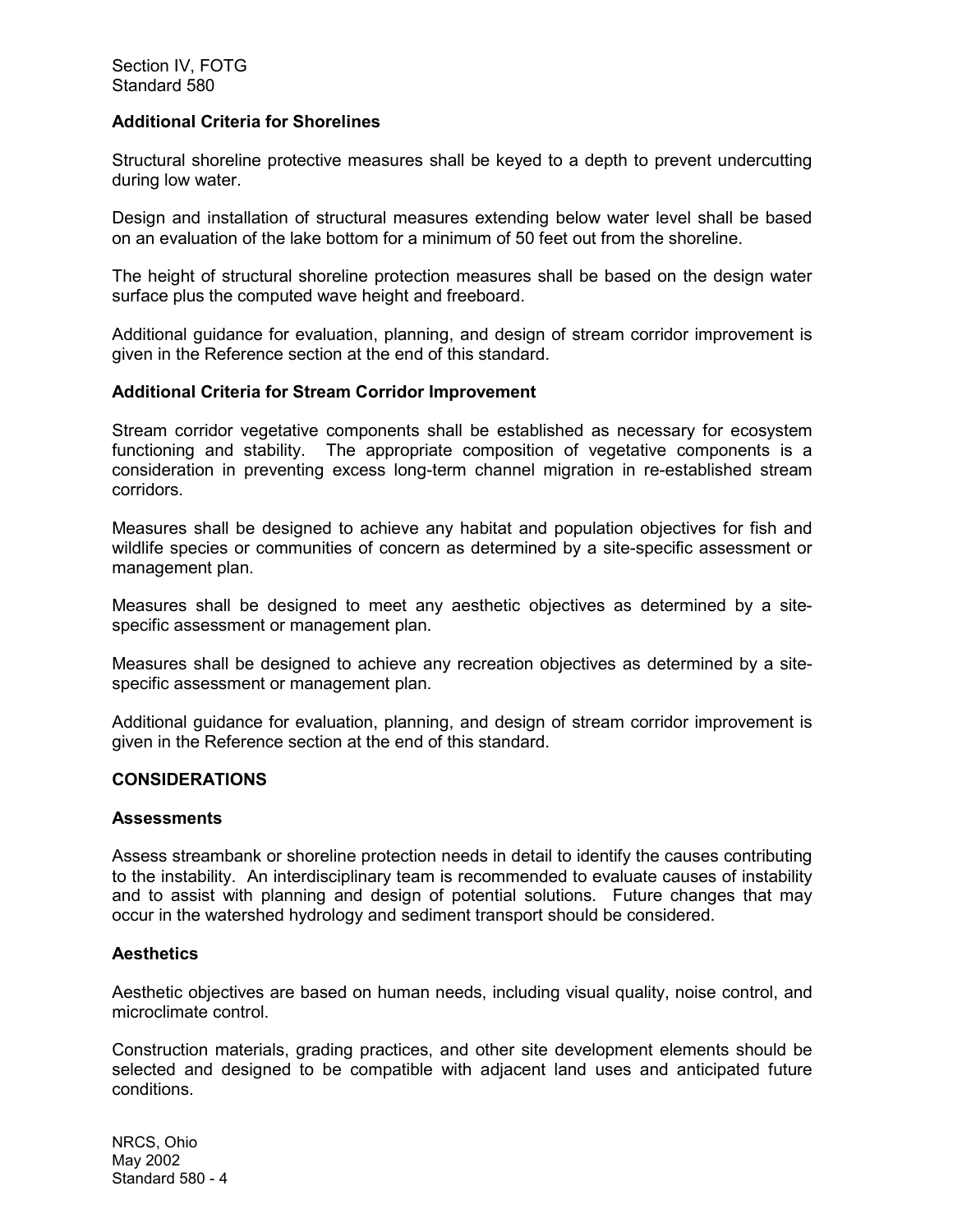### **Additional Criteria for Shorelines**

Structural shoreline protective measures shall be keyed to a depth to prevent undercutting during low water.

Design and installation of structural measures extending below water level shall be based on an evaluation of the lake bottom for a minimum of 50 feet out from the shoreline.

The height of structural shoreline protection measures shall be based on the design water surface plus the computed wave height and freeboard.

Additional guidance for evaluation, planning, and design of stream corridor improvement is given in the Reference section at the end of this standard.

#### **Additional Criteria for Stream Corridor Improvement**

Stream corridor vegetative components shall be established as necessary for ecosystem functioning and stability. The appropriate composition of vegetative components is a consideration in preventing excess long-term channel migration in re-established stream corridors.

Measures shall be designed to achieve any habitat and population objectives for fish and wildlife species or communities of concern as determined by a site-specific assessment or management plan.

Measures shall be designed to meet any aesthetic objectives as determined by a sitespecific assessment or management plan.

Measures shall be designed to achieve any recreation objectives as determined by a sitespecific assessment or management plan.

Additional guidance for evaluation, planning, and design of stream corridor improvement is given in the Reference section at the end of this standard.

#### **CONSIDERATIONS**

#### **Assessments**

Assess streambank or shoreline protection needs in detail to identify the causes contributing to the instability. An interdisciplinary team is recommended to evaluate causes of instability and to assist with planning and design of potential solutions. Future changes that may occur in the watershed hydrology and sediment transport should be considered.

#### **Aesthetics**

Aesthetic objectives are based on human needs, including visual quality, noise control, and microclimate control.

Construction materials, grading practices, and other site development elements should be selected and designed to be compatible with adjacent land uses and anticipated future conditions.

NRCS, Ohio May 2002 Standard 580 - 4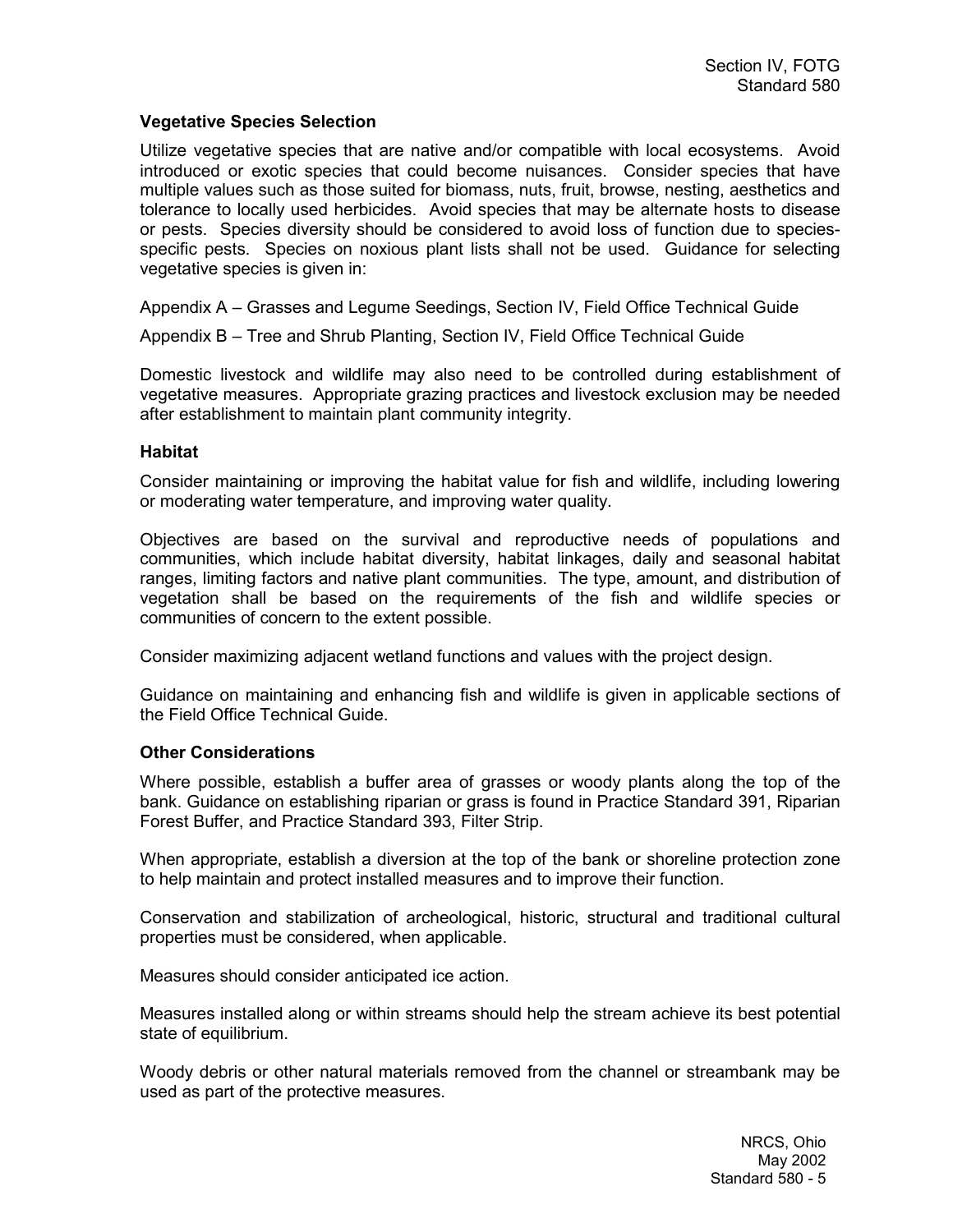### **Vegetative Species Selection**

Utilize vegetative species that are native and/or compatible with local ecosystems. Avoid introduced or exotic species that could become nuisances. Consider species that have multiple values such as those suited for biomass, nuts, fruit, browse, nesting, aesthetics and tolerance to locally used herbicides. Avoid species that may be alternate hosts to disease or pests. Species diversity should be considered to avoid loss of function due to speciesspecific pests. Species on noxious plant lists shall not be used. Guidance for selecting vegetative species is given in:

Appendix A – Grasses and Legume Seedings, Section IV, Field Office Technical Guide

Appendix B – Tree and Shrub Planting, Section IV, Field Office Technical Guide

Domestic livestock and wildlife may also need to be controlled during establishment of vegetative measures. Appropriate grazing practices and livestock exclusion may be needed after establishment to maintain plant community integrity.

### **Habitat**

Consider maintaining or improving the habitat value for fish and wildlife, including lowering or moderating water temperature, and improving water quality.

Objectives are based on the survival and reproductive needs of populations and communities, which include habitat diversity, habitat linkages, daily and seasonal habitat ranges, limiting factors and native plant communities. The type, amount, and distribution of vegetation shall be based on the requirements of the fish and wildlife species or communities of concern to the extent possible.

Consider maximizing adjacent wetland functions and values with the project design.

Guidance on maintaining and enhancing fish and wildlife is given in applicable sections of the Field Office Technical Guide.

#### **Other Considerations**

Where possible, establish a buffer area of grasses or woody plants along the top of the bank. Guidance on establishing riparian or grass is found in Practice Standard 391, Riparian Forest Buffer, and Practice Standard 393, Filter Strip.

When appropriate, establish a diversion at the top of the bank or shoreline protection zone to help maintain and protect installed measures and to improve their function.

Conservation and stabilization of archeological, historic, structural and traditional cultural properties must be considered, when applicable.

Measures should consider anticipated ice action.

Measures installed along or within streams should help the stream achieve its best potential state of equilibrium.

Woody debris or other natural materials removed from the channel or streambank may be used as part of the protective measures.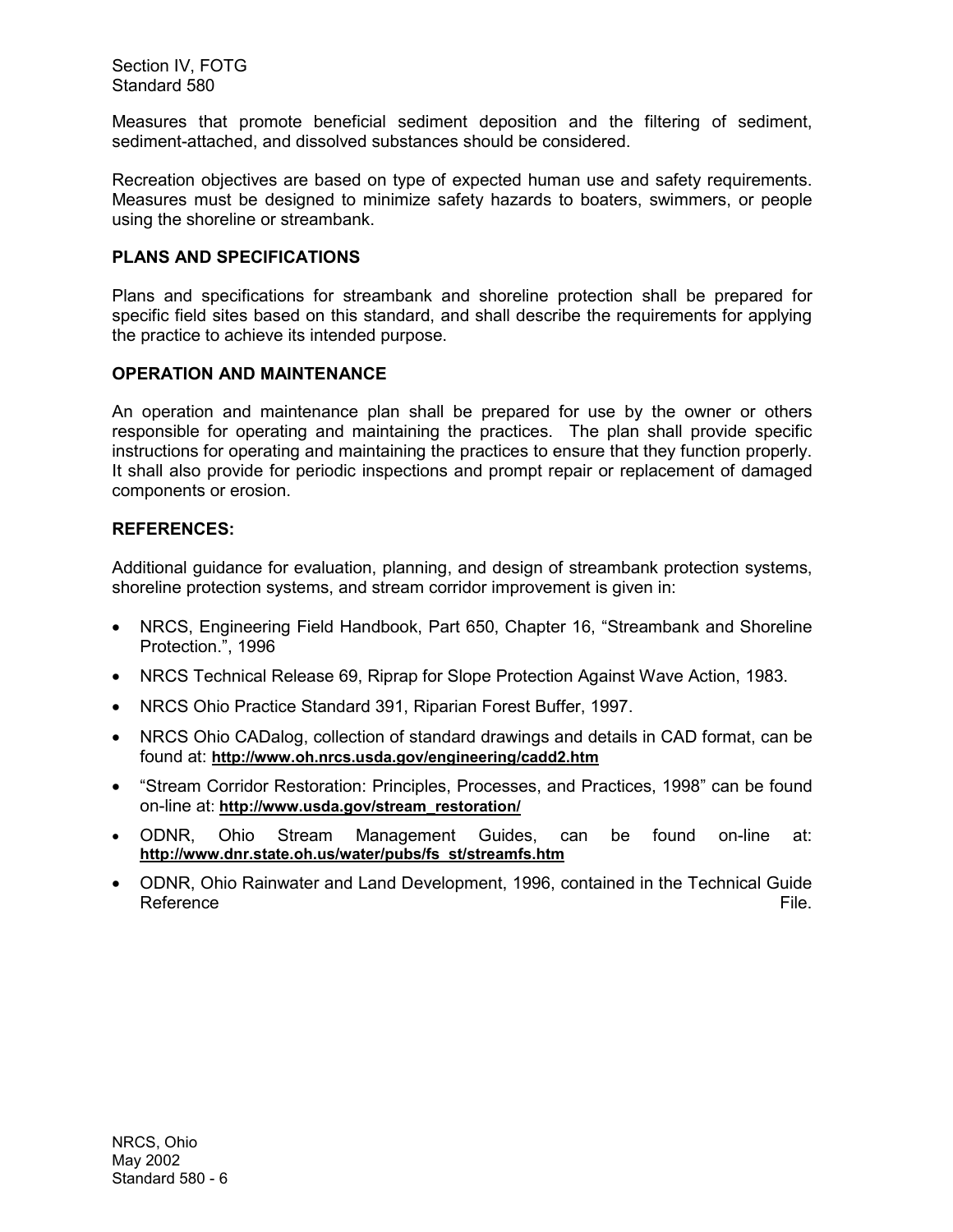Section IV, FOTG Standard 580

Measures that promote beneficial sediment deposition and the filtering of sediment, sediment-attached, and dissolved substances should be considered.

Recreation objectives are based on type of expected human use and safety requirements. Measures must be designed to minimize safety hazards to boaters, swimmers, or people using the shoreline or streambank.

## **PLANS AND SPECIFICATIONS**

Plans and specifications for streambank and shoreline protection shall be prepared for specific field sites based on this standard, and shall describe the requirements for applying the practice to achieve its intended purpose.

## **OPERATION AND MAINTENANCE**

An operation and maintenance plan shall be prepared for use by the owner or others responsible for operating and maintaining the practices. The plan shall provide specific instructions for operating and maintaining the practices to ensure that they function properly. It shall also provide for periodic inspections and prompt repair or replacement of damaged components or erosion.

## **REFERENCES:**

Additional guidance for evaluation, planning, and design of streambank protection systems, shoreline protection systems, and stream corridor improvement is given in:

- $\bullet$  NRCS, Engineering Field Handbook, Part 650, Chapter 16, "Streambank and Shoreline Protection.", 1996
- -NRCS Technical Release 69, Riprap for Slope Protection Against Wave Action, 1983.
- -NRCS Ohio Practice Standard 391, Riparian Forest Buffer, 1997.
- NRCS Ohio CADalog, collection of standard drawings and details in CAD format, can be found at: **http://www.oh.nrcs.usda.gov/engineering/cadd2.htm**
- $\bullet$  "Stream Corridor Restoration: Principles, Processes, and Practices, 1998" can be found on-line at: **http://www.usda.gov/stream\_restoration/**
- - ODNR, Ohio Stream Management Guides, can be found on-line at: **http://www.dnr.state.oh.us/water/pubs/fs\_st/streamfs.htm**
- - ODNR, Ohio Rainwater and Land Development, 1996, contained in the Technical Guide Reference File.